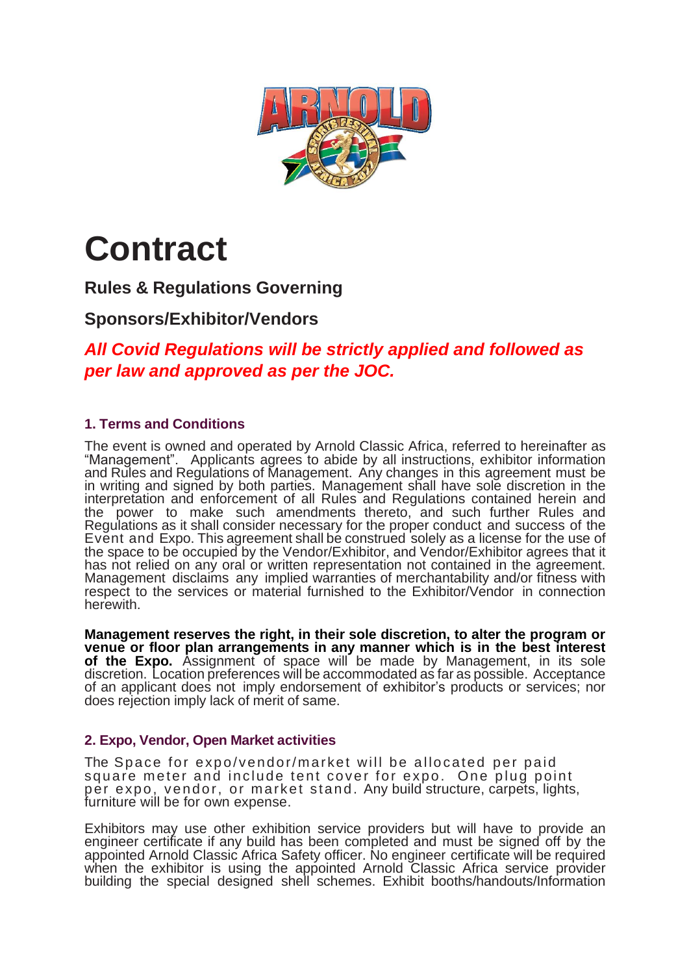

# **Contract**

**Rules & Regulations Governing**

# **Sponsors/Exhibitor/Vendors**

*All Covid Regulations will be strictly applied and followed as per law and approved as per the JOC.*

## **1. Terms and Conditions**

The event is owned and operated by Arnold Classic Africa, referred to hereinafter as "Management". Applicants agrees to abide by all instructions, exhibitor information and Rules and Regulations of Management. Any changes in this agreement must be in writing and signed by both parties. Management shall have sole discretion in the interpretation and enforcement of all Rules and Regulations contained herein and the power to make such amendments thereto, and such further Rules and Regulations as it shall consider necessary for the proper conduct and success of the Event and Expo. This agreement shall be construed solely as a license for the use of the space to be occupied by the Vendor/Exhibitor, and Vendor/Exhibitor agrees that it has not relied on any oral or written representation not contained in the agreement. Management disclaims any implied warranties of merchantability and/or fitness with respect to the services or material furnished to the Exhibitor/Vendor in connection herewith.

**Management reserves the right, in their sole discretion, to alter the program or venue or floor plan arrangements in any manner which is in the best interest of the Expo.** Assignment of space will be made by Management, in its sole discretion. Location preferences will be accommodated as far as possible. Acceptance of an applicant does not imply endorsement of exhibitor's products or services; nor does rejection imply lack of merit of same.

#### **2. Expo, Vendor, Open Market activities**

The Space for expo/vendor/market will be allocated per paid square meter and include tent cover for expo. One plug point per expo, vendo r, or market stand. Any build structure, carpets, lights, furniture will be for own expense.

Exhibitors may use other exhibition service providers but will have to provide an engineer certificate if any build has been completed and must be signed off by the appointed Arnold Classic Africa Safety officer. No engineer certificate will be required when the exhibitor is using the appointed Arnold Classic Africa service provider building the special designed shell schemes. Exhibit booths/handouts/Information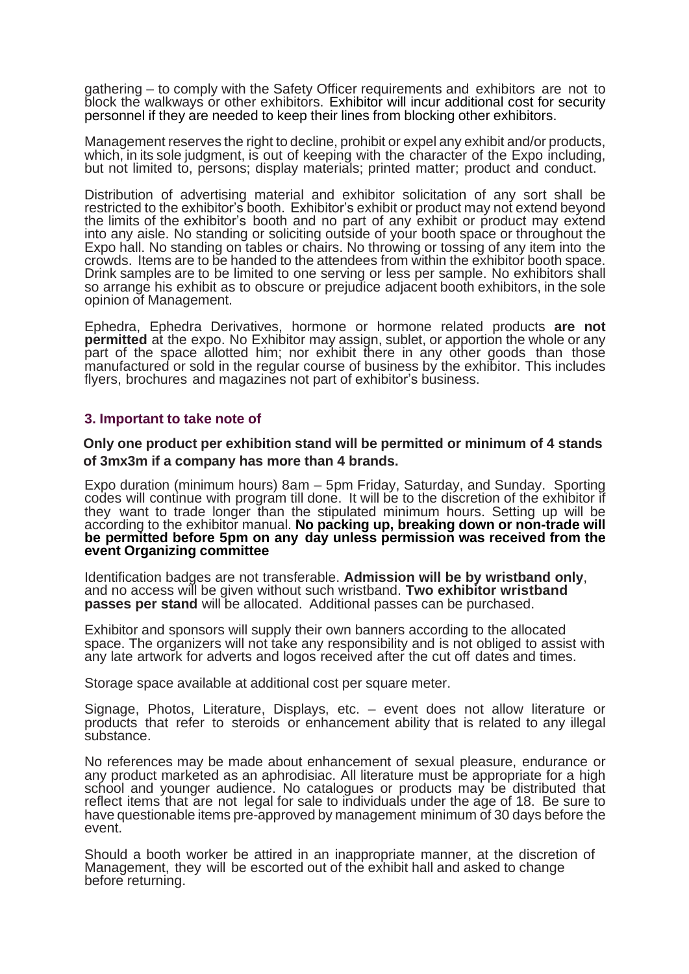gathering – to comply with the Safety Officer requirements and exhibitors are not to block the walkways or other exhibitors. Exhibitor will incur additional cost for security personnel if they are needed to keep their lines from blocking other exhibitors.

Management reserves the right to decline, prohibit or expel any exhibit and/or products, which, in its sole judgment, is out of keeping with the character of the Expo including, but not limited to, persons; display materials; printed matter; product and conduct.

Distribution of advertising material and exhibitor solicitation of any sort shall be restricted to the exhibitor's booth. Exhibitor's exhibit or product may not extend beyond the limits of the exhibitor's booth and no part of any exhibit or product may extend into any aisle. No standing or soliciting outside of your booth space or throughout the Expo hall. No standing on tables or chairs. No throwing or tossing of any item into the crowds. Items are to be handed to the attendees from within the exhibitor booth space. Drink samples are to be limited to one serving or less per sample. No exhibitors shall so arrange his exhibit as to obscure or prejudice adjacent booth exhibitors, in the sole opinion of Management.

Ephedra, Ephedra Derivatives, hormone or hormone related products **are not permitted** at the expo. No Exhibitor may assign, sublet, or apportion the whole or any part of the space allotted him; nor exhibit there in any other goods than those manufactured or sold in the regular course of business by the exhibitor. This includes flyers, brochures and magazines not part of exhibitor's business.

#### **3. Important to take note of**

**Only one product per exhibition stand will be permitted or minimum of 4 stands of 3mx3m if a company has more than 4 brands.**

Expo duration (minimum hours) 8am – 5pm Friday, Saturday, and Sunday. Sporting codes will continue with program till done. It will be to the discretion of the exhibitor if they want to trade longer than the stipulated minimum hours. Setting up will be according to the exhibitor manual. **No packing up, breaking down or non-trade will be permitted before 5pm on any day unless permission was received from the event Organizing committee**

Identification badges are not transferable. **Admission will be by wristband only**, and no access will be given without such wristband. **Two exhibitor wristband passes per stand** will be allocated. Additional passes can be purchased.

Exhibitor and sponsors will supply their own banners according to the allocated space. The organizers will not take any responsibility and is not obliged to assist with any late artwork for adverts and logos received after the cut off dates and times.

Storage space available at additional cost per square meter.

Signage, Photos, Literature, Displays, etc. – event does not allow literature or products that refer to steroids or enhancement ability that is related to any illegal substance.

No references may be made about enhancement of sexual pleasure, endurance or any product marketed as an aphrodisiac. All literature must be appropriate for a high school and younger audience. No catalogues or products may be distributed that reflect items that are not legal for sale to individuals under the age of 18. Be sure to have questionable items pre-approved by management minimum of 30 days before the event.

Should a booth worker be attired in an inappropriate manner, at the discretion of Management, they will be escorted out of the exhibit hall and asked to change before returning.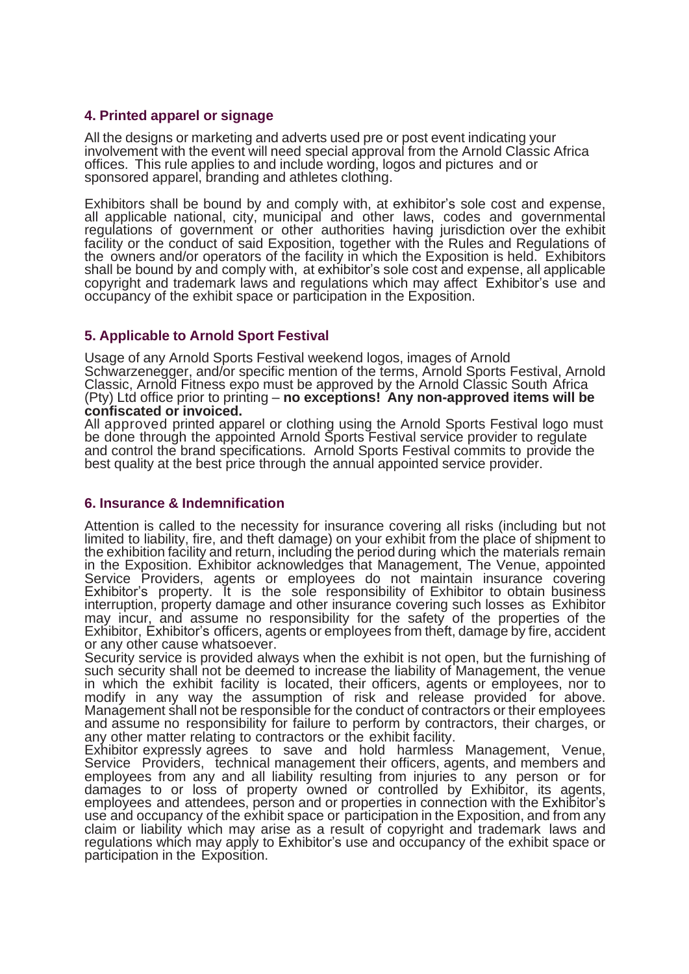#### **4. Printed apparel or signage**

All the designs or marketing and adverts used pre or post event indicating your involvement with the event will need special approval from the Arnold Classic Africa offices. This rule applies to and include wording, logos and pictures and or sponsored apparel, branding and athletes clothing.

Exhibitors shall be bound by and comply with, at exhibitor's sole cost and expense, all applicable national, city, municipal and other laws, codes and governmental regulations of government or other authorities having jurisdiction over the exhibit facility or the conduct of said Exposition, together with the Rules and Regulations of the owners and/or operators of the facility in which the Exposition is held. Exhibitors shall be bound by and comply with, at exhibitor's sole cost and expense, all applicable copyright and trademark laws and regulations which may affect Exhibitor's use and occupancy of the exhibit space or participation in the Exposition.

#### **5. Applicable to Arnold Sport Festival**

Usage of any Arnold Sports Festival weekend logos, images of Arnold Schwarzenegger, and/or specific mention of the terms, Arnold Sports Festival, Arnold Classic, Arnold Fitness expo must be approved by the Arnold Classic South Africa (Pty) Ltd office prior to printing – **no exceptions! Any non-approved items will be confiscated or invoiced.**

All approved printed apparel or clothing using the Arnold Sports Festival logo must be done through the appointed Arnold Sports Festival service provider to regulate and control the brand specifications. Arnold Sports Festival commits to provide the best quality at the best price through the annual appointed service provider.

#### **6. Insurance & Indemnification**

Attention is called to the necessity for insurance covering all risks (including but not limited to liability, fire, and theft damage) on your exhibit from the place of shipment to the exhibition facility and return, including the period during which the materials remain in the Exposition. Exhibitor acknowledges that Management, The Venue, appointed Service Providers, agents or employees do not maintain insurance covering Exhibitor's property. It is the sole responsibility of Exhibitor to obtain business interruption, property damage and other insurance covering such losses as Exhibitor may incur, and assume no responsibility for the safety of the properties of the Exhibitor, Exhibitor's officers, agents or employees from theft, damage by fire, accident or any other cause whatsoever.

Security service is provided always when the exhibit is not open, but the furnishing of such security shall not be deemed to increase the liability of Management, the venue in which the exhibit facility is located, their officers, agents or employees, nor to modify in any way the assumption of risk and release provided for above. Management shall not be responsible for the conduct of contractors or their employees and assume no responsibility for failure to perform by contractors, their charges, or any other matter relating to contractors or the exhibit facility.

Exhibitor expressly agrees to save and hold harmless Management, Venue, Service Providers, technical management their officers, agents, and members and employees from any and all liability resulting from injuries to any person or for damages to or loss of property owned or controlled by Exhibitor, its agents, employees and attendees, person and or properties in connection with the Exhibitor's use and occupancy of the exhibit space or participation in the Exposition, and from any claim or liability which may arise as a result of copyright and trademark laws and regulations which may apply to Exhibitor's use and occupancy of the exhibit space or participation in the Exposition.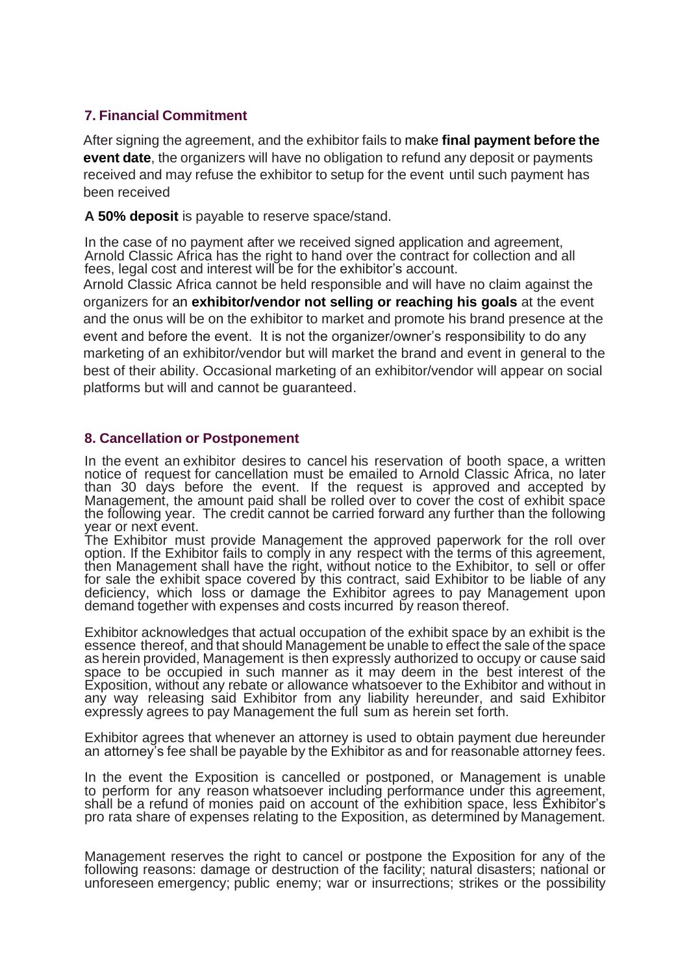### **7. Financial Commitment**

After signing the agreement, and the exhibitor fails to make **final payment before the event date**, the organizers will have no obligation to refund any deposit or payments received and may refuse the exhibitor to setup for the event until such payment has been received

**A 50% deposit** is payable to reserve space/stand.

In the case of no payment after we received signed application and agreement, Arnold Classic Africa has the right to hand over the contract for collection and all fees, legal cost and interest will be for the exhibitor's account.

Arnold Classic Africa cannot be held responsible and will have no claim against the organizers for an **exhibitor/vendor not selling or reaching his goals** at the event and the onus will be on the exhibitor to market and promote his brand presence at the event and before the event. It is not the organizer/owner's responsibility to do any marketing of an exhibitor/vendor but will market the brand and event in general to the best of their ability. Occasional marketing of an exhibitor/vendor will appear on social platforms but will and cannot be guaranteed.

#### **8. Cancellation or Postponement**

In the event an exhibitor desires to cancel his reservation of booth space, a written notice of request for cancellation must be emailed to Arnold Classic Africa, no later than 30 days before the event. If the request is approved and accepted by Management, the amount paid shall be rolled over to cover the cost of exhibit space the following year. The credit cannot be carried forward any further than the following year or next event.

The Exhibitor must provide Management the approved paperwork for the roll over option. If the Exhibitor fails to comply in any respect with the terms of this agreement, then Management shall have the right, without notice to the Exhibitor, to sell or offer for sale the exhibit space covered by this contract, said Exhibitor to be liable of any deficiency, which loss or damage the Exhibitor agrees to pay Management upon demand together with expenses and costs incurred by reason thereof.

Exhibitor acknowledges that actual occupation of the exhibit space by an exhibit is the essence thereof, and that should Management be unable to effect the sale of the space as herein provided, Management is then expressly authorized to occupy or cause said space to be occupied in such manner as it may deem in the best interest of the Exposition, without any rebate or allowance whatsoever to the Exhibitor and without in any way releasing said Exhibitor from any liability hereunder, and said Exhibitor expressly agrees to pay Management the full sum as herein set forth.

Exhibitor agrees that whenever an attorney is used to obtain payment due hereunder an attorney's fee shall be payable by the Exhibitor as and for reasonable attorney fees.

In the event the Exposition is cancelled or postponed, or Management is unable to perform for any reason whatsoever including performance under this agreement, shall be a refund of monies paid on account of the exhibition space, less Exhibitor's pro rata share of expenses relating to the Exposition, as determined by Management.

Management reserves the right to cancel or postpone the Exposition for any of the following reasons: damage or destruction of the facility; natural disasters; national or unforeseen emergency; public enemy; war or insurrections; strikes or the possibility